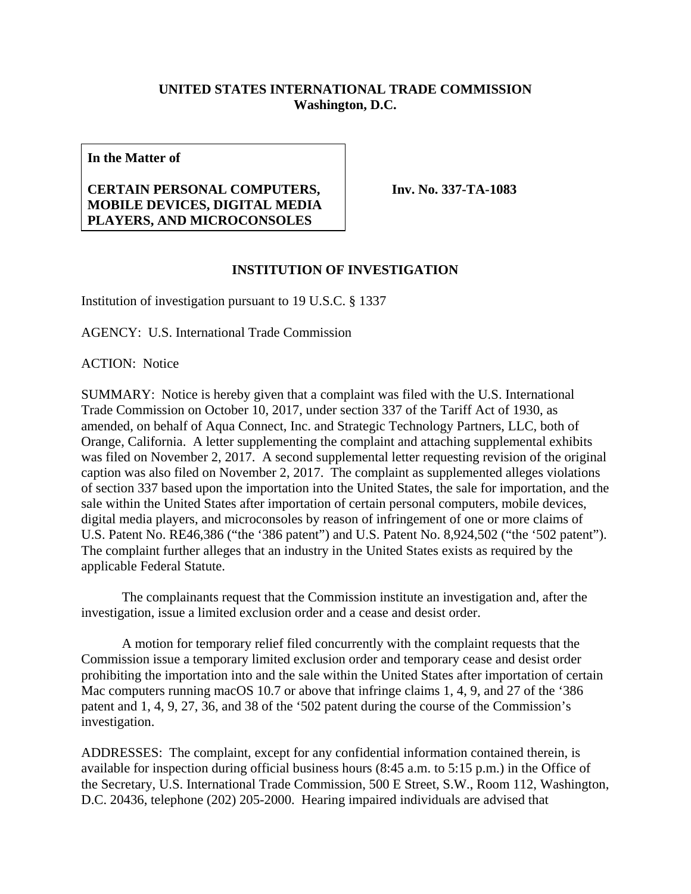## **UNITED STATES INTERNATIONAL TRADE COMMISSION Washington, D.C.**

**In the Matter of** 

## **CERTAIN PERSONAL COMPUTERS, MOBILE DEVICES, DIGITAL MEDIA PLAYERS, AND MICROCONSOLES**

**Inv. No. 337-TA-1083**

## **INSTITUTION OF INVESTIGATION**

Institution of investigation pursuant to 19 U.S.C. § 1337

AGENCY: U.S. International Trade Commission

ACTION: Notice

SUMMARY: Notice is hereby given that a complaint was filed with the U.S. International Trade Commission on October 10, 2017, under section 337 of the Tariff Act of 1930, as amended, on behalf of Aqua Connect, Inc. and Strategic Technology Partners, LLC, both of Orange, California. A letter supplementing the complaint and attaching supplemental exhibits was filed on November 2, 2017. A second supplemental letter requesting revision of the original caption was also filed on November 2, 2017. The complaint as supplemented alleges violations of section 337 based upon the importation into the United States, the sale for importation, and the sale within the United States after importation of certain personal computers, mobile devices, digital media players, and microconsoles by reason of infringement of one or more claims of U.S. Patent No. RE46,386 ("the '386 patent") and U.S. Patent No. 8,924,502 ("the '502 patent"). The complaint further alleges that an industry in the United States exists as required by the applicable Federal Statute.

 The complainants request that the Commission institute an investigation and, after the investigation, issue a limited exclusion order and a cease and desist order.

 A motion for temporary relief filed concurrently with the complaint requests that the Commission issue a temporary limited exclusion order and temporary cease and desist order prohibiting the importation into and the sale within the United States after importation of certain Mac computers running macOS 10.7 or above that infringe claims 1, 4, 9, and 27 of the '386 patent and 1, 4, 9, 27, 36, and 38 of the '502 patent during the course of the Commission's investigation.

ADDRESSES: The complaint, except for any confidential information contained therein, is available for inspection during official business hours (8:45 a.m. to 5:15 p.m.) in the Office of the Secretary, U.S. International Trade Commission, 500 E Street, S.W., Room 112, Washington, D.C. 20436, telephone (202) 205-2000. Hearing impaired individuals are advised that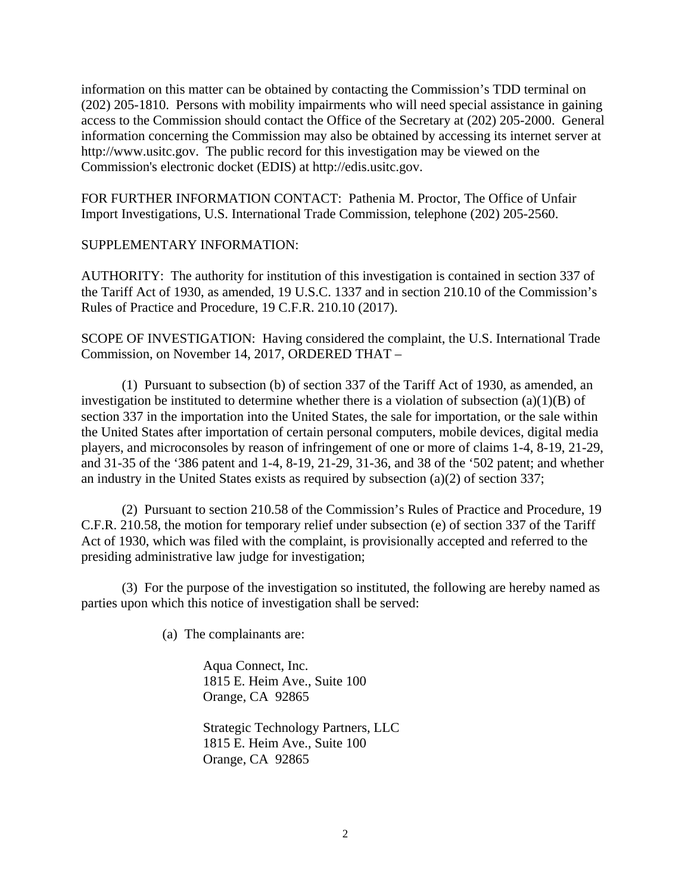information on this matter can be obtained by contacting the Commission's TDD terminal on (202) 205-1810. Persons with mobility impairments who will need special assistance in gaining access to the Commission should contact the Office of the Secretary at (202) 205-2000. General information concerning the Commission may also be obtained by accessing its internet server at http://www.usitc.gov. The public record for this investigation may be viewed on the Commission's electronic docket (EDIS) at http://edis.usitc.gov.

FOR FURTHER INFORMATION CONTACT: Pathenia M. Proctor, The Office of Unfair Import Investigations, U.S. International Trade Commission, telephone (202) 205-2560.

## SUPPLEMENTARY INFORMATION:

AUTHORITY: The authority for institution of this investigation is contained in section 337 of the Tariff Act of 1930, as amended, 19 U.S.C. 1337 and in section 210.10 of the Commission's Rules of Practice and Procedure, 19 C.F.R. 210.10 (2017).

SCOPE OF INVESTIGATION: Having considered the complaint, the U.S. International Trade Commission, on November 14, 2017, ORDERED THAT –

 (1) Pursuant to subsection (b) of section 337 of the Tariff Act of 1930, as amended, an investigation be instituted to determine whether there is a violation of subsection (a)(1)(B) of section 337 in the importation into the United States, the sale for importation, or the sale within the United States after importation of certain personal computers, mobile devices, digital media players, and microconsoles by reason of infringement of one or more of claims 1-4, 8-19, 21-29, and 31-35 of the '386 patent and 1-4, 8-19, 21-29, 31-36, and 38 of the '502 patent; and whether an industry in the United States exists as required by subsection (a)(2) of section 337;

 (2) Pursuant to section 210.58 of the Commission's Rules of Practice and Procedure, 19 C.F.R. 210.58, the motion for temporary relief under subsection (e) of section 337 of the Tariff Act of 1930, which was filed with the complaint, is provisionally accepted and referred to the presiding administrative law judge for investigation;

(3) For the purpose of the investigation so instituted, the following are hereby named as parties upon which this notice of investigation shall be served:

(a) The complainants are:

Aqua Connect, Inc. 1815 E. Heim Ave., Suite 100 Orange, CA 92865

Strategic Technology Partners, LLC 1815 E. Heim Ave., Suite 100 Orange, CA 92865